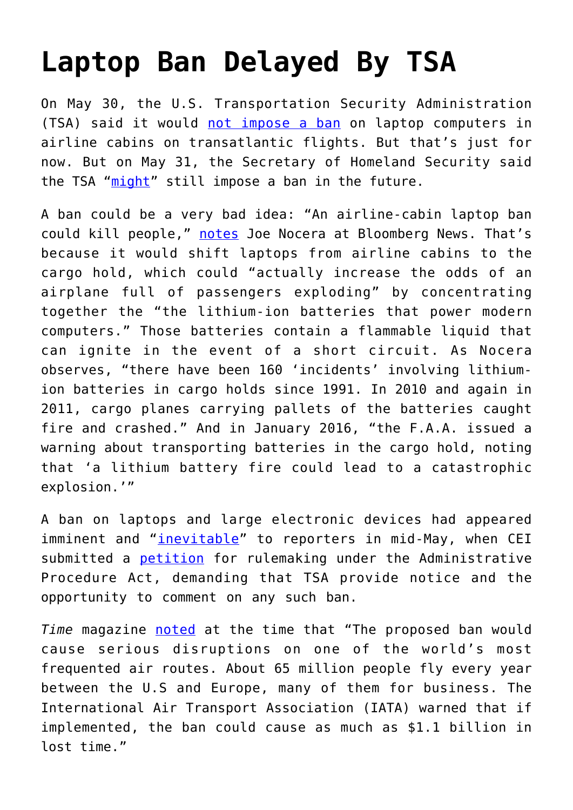## **[Laptop Ban Delayed By TSA](https://intellectualtakeout.org/2017/06/laptop-ban-delayed-by-tsa/)**

On May 30, the U.S. Transportation Security Administration (TSA) said it would [not impose a ban](http://www.politico.com/story/2017/05/30/united-states-no-laptop-ban-238939) on laptop computers in airline cabins on transatlantic flights. But that's just for now. But on May 31, the Secretary of Homeland Security said the TSA "[might](http://www.politico.com/story/2017/05/30/united-states-no-laptop-ban-238939)" still impose a ban in the future.

A ban could be a very bad idea: "An airline-cabin laptop ban could kill people," [notes](https://www.bloomberg.com/view/articles/2017-05-31/a-laptop-ban-could-actually-kill-people) Joe Nocera at Bloomberg News. That's because it would shift laptops from airline cabins to the cargo hold, which could "actually increase the odds of an airplane full of passengers exploding" by concentrating together the "the lithium-ion batteries that power modern computers." Those batteries contain a flammable liquid that can ignite in the event of a short circuit. As Nocera observes, "there have been 160 'incidents' involving lithiumion batteries in cargo holds since 1991. In 2010 and again in 2011, cargo planes carrying pallets of the batteries caught fire and crashed." And in January 2016, "the F.A.A. issued a warning about transporting batteries in the cargo hold, noting that 'a lithium battery fire could lead to a catastrophic explosion.'"

A ban on laptops and large electronic devices had appeared imminent and "[inevitable"](https://www.usatoday.com/story/news/world/2017/05/12/europe-braces-possible-laptop-tablet-ban-flights-us/101587360/) to reporters in mid-May, when CEI submitted a [petition](https://cei.org/sites/default/files/TSA%20Laptop%20ban%20petition%20for%20rulemaking%20from%20Competitive%20Enterprise%20Institute.pdf) for rulemaking under the Administrative Procedure Act, demanding that TSA provide notice and the opportunity to comment on any such ban.

*Time* magazine [noted](http://time.com/4783778/laptop-tablet-ban-europe/) at the time that "The proposed ban would cause serious disruptions on one of the world's most frequented air routes. About 65 million people fly every year between the U.S and Europe, many of them for business. The International Air Transport Association (IATA) warned that if implemented, the ban could cause as much as \$1.1 billion in lost time."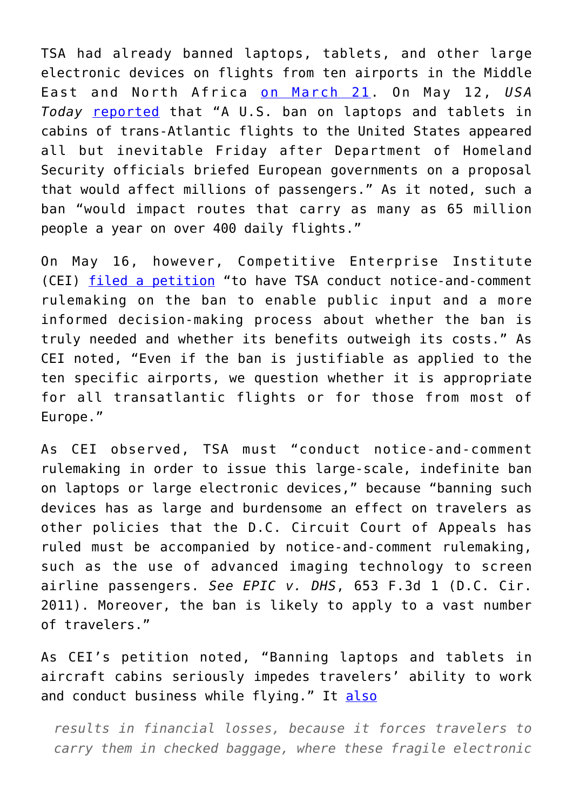TSA had already banned laptops, tablets, and other large electronic devices on flights from ten airports in the Middle East and North Africa [on March 21](https://www.dhs.gov/news/2017/03/21/fact-sheet-aviation-security-enhancements-select-last-point-departure-airports). On May 12, *USA Today* [reported](https://www.usatoday.com/story/news/world/2017/05/12/europe-braces-possible-laptop-tablet-ban-flights-us/101587360/) that "A U.S. ban on laptops and tablets in cabins of trans-Atlantic flights to the United States appeared all but inevitable Friday after Department of Homeland Security officials briefed European governments on a proposal that would affect millions of passengers." As it noted, such a ban "would impact routes that carry as many as 65 million people a year on over 400 daily flights."

On May 16, however, Competitive Enterprise Institute (CEI) [filed a petition](https://cei.org/sites/default/files/TSA%20Laptop%20ban%20petition%20for%20rulemaking%20from%20Competitive%20Enterprise%20Institute.pdf) "to have TSA conduct notice-and-comment rulemaking on the ban to enable public input and a more informed decision-making process about whether the ban is truly needed and whether its benefits outweigh its costs." As CEI noted, "Even if the ban is justifiable as applied to the ten specific airports, we question whether it is appropriate for all transatlantic flights or for those from most of Europe."

As CEI observed, TSA must "conduct notice-and-comment rulemaking in order to issue this large-scale, indefinite ban on laptops or large electronic devices," because "banning such devices has as large and burdensome an effect on travelers as other policies that the D.C. Circuit Court of Appeals has ruled must be accompanied by notice-and-comment rulemaking, such as the use of advanced imaging technology to screen airline passengers. *See EPIC v. DHS*, 653 F.3d 1 (D.C. Cir. 2011). Moreover, the ban is likely to apply to a vast number of travelers."

As CEI's petition noted, "Banning laptops and tablets in aircraft cabins seriously impedes travelers' ability to work and conduct business while flying." It [also](https://goo.gl/5Uqh17)

*results in financial losses, because it forces travelers to carry them in checked baggage, where these fragile electronic*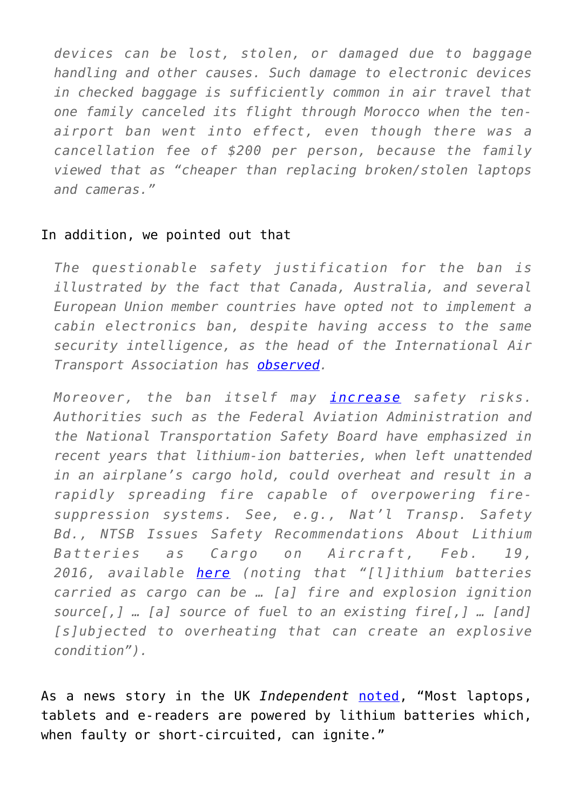*devices can be lost, stolen, or damaged due to baggage handling and other causes. Such damage to electronic devices in checked baggage is sufficiently common in air travel that one family canceled its flight through Morocco when the tenairport ban went into effect, even though there was a cancellation fee of \$200 per person, because the family viewed that as "cheaper than replacing broken/stolen laptops and cameras."*

## In addition, we pointed out that

*The questionable safety justification for the ban is illustrated by the fact that Canada, Australia, and several European Union member countries have opted not to implement a cabin electronics ban, despite having access to the same security intelligence, as the head of the International Air Transport Association has [observed](http://money.cnn.com/2017/05/11/news/flights-electronics-laptop-ban-europe-us/).*

*Moreover, the ban itself may [increase](http://www.popularmechanics.com/flight/a17824/faa-lithium-ion-batteries/) safety risks. Authorities such as the Federal Aviation Administration and the National Transportation Safety Board have emphasized in recent years that lithium-ion batteries, when left unattended in an airplane's cargo hold, could overheat and result in a rapidly spreading fire capable of overpowering firesuppression systems. See, e.g., Nat'l Transp. Safety Bd., NTSB Issues Safety Recommendations About Lithium Batteries as Cargo on Aircraft, Feb. 19, 2016, available [here](https://www.ntsb.gov/news/press-releases/Pages/PR20160209.aspx) (noting that "[l]ithium batteries carried as cargo can be … [a] fire and explosion ignition source[,] … [a] source of fuel to an existing fire[,] … [and] [s]ubjected to overheating that can create an explosive condition").*

As a news story in the UK *Independent* [noted](https://goo.gl/nl268d), "Most laptops, tablets and e-readers are powered by lithium batteries which, when faulty or short-circuited, can ignite."